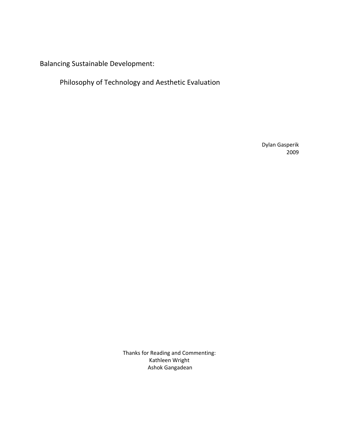Balancing Sustainable Development:

Philosophy of Technology and Aesthetic Evaluation

Dylan Gasperik 2009

Thanks for Reading and Commenting: Kathleen Wright Ashok Gangadean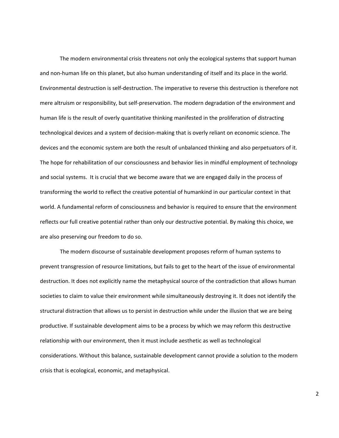The modern environmental crisis threatens not only the ecological systems that support human and non‐human life on this planet, but also human understanding of itself and its place in the world. Environmental destruction is self‐destruction. The imperative to reverse this destruction is therefore not mere altruism or responsibility, but self‐preservation. The modern degradation of the environment and human life is the result of overly quantitative thinking manifested in the proliferation of distracting technological devices and a system of decision‐making that is overly reliant on economic science. The devices and the economic system are both the result of unbalanced thinking and also perpetuators of it. The hope for rehabilitation of our consciousness and behavior lies in mindful employment of technology and social systems. It is crucial that we become aware that we are engaged daily in the process of transforming the world to reflect the creative potential of humankind in our particular context in that world. A fundamental reform of consciousness and behavior is required to ensure that the environment reflects our full creative potential rather than only our destructive potential. By making this choice, we are also preserving our freedom to do so.

The modern discourse of sustainable development proposes reform of human systems to prevent transgression of resource limitations, but fails to get to the heart of the issue of environmental destruction. It does not explicitly name the metaphysical source of the contradiction that allows human societies to claim to value their environment while simultaneously destroying it. It does not identify the structural distraction that allows us to persist in destruction while under the illusion that we are being productive. If sustainable development aims to be a process by which we may reform this destructive relationship with our environment, then it must include aesthetic as well as technological considerations. Without this balance, sustainable development cannot provide a solution to the modern crisis that is ecological, economic, and metaphysical.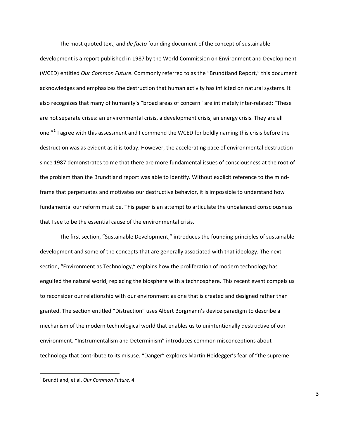The most quoted text, and *de facto* founding document of the concept of sustainable development is a report published in 1987 by the World Commission on Environment and Development (WCED) entitled *Our Common Future*. Commonly referred to as the "Brundtland Report," this document acknowledges and emphasizes the destruction that human activity has inflicted on natural systems. It also recognizes that many of humanity's "broad areas of concern" are intimately inter‐related: "These are not separate crises: an environmental crisis, a development crisis, an energy crisis. They are all one."<sup>[1](#page-2-0)</sup> I agree with this assessment and I commend the WCED for boldly naming this crisis before the destruction was as evident as it is today. However, the accelerating pace of environmental destruction since 1987 demonstrates to me that there are more fundamental issues of consciousness at the root of the problem than the Brundtland report was able to identify. Without explicit reference to the mind‐ frame that perpetuates and motivates our destructive behavior, it is impossible to understand how fundamental our reform must be. This paper is an attempt to articulate the unbalanced consciousness that I see to be the essential cause of the environmental crisis.

The first section, "Sustainable Development," introduces the founding principles of sustainable development and some of the concepts that are generally associated with that ideology. The next section, "Environment as Technology," explains how the proliferation of modern technology has engulfed the natural world, replacing the biosphere with a technosphere. This recent event compels us to reconsider our relationship with our environment as one that is created and designed rather than granted. The section entitled "Distraction" uses Albert Borgmann's device paradigm to describe a mechanism of the modern technological world that enables us to unintentionally destructive of our environment. "Instrumentalism and Determinism" introduces common misconceptions about technology that contribute to its misuse. "Danger" explores Martin Heidegger's fear of "the supreme

<span id="page-2-0"></span><sup>1</sup> Brundtland, et al. *Our Common Future,* 4.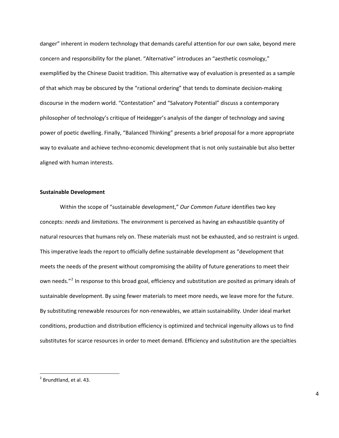danger" inherent in modern technology that demands careful attention for our own sake, beyond mere concern and responsibility for the planet. "Alternative" introduces an "aesthetic cosmology," exemplified by the Chinese Daoist tradition. This alternative way of evaluation is presented as a sample of that which may be obscured by the "rational ordering" that tends to dominate decision‐making discourse in the modern world. "Contestation" and "Salvatory Potential" discuss a contemporary philosopher of technology's critique of Heidegger's analysis of the danger of technology and saving power of poetic dwelling. Finally, "Balanced Thinking" presents a brief proposal for a more appropriate way to evaluate and achieve techno-economic development that is not only sustainable but also better aligned with human interests.

## **Sustainable Development**

Within the scope of "sustainable development," *Our Common Future* identifies two key concepts: *needs* and *limitations*. The environment is perceived as having an exhaustible quantity of natural resources that humans rely on. These materials must not be exhausted, and so restraint is urged. This imperative leads the report to officially define sustainable development as "development that meets the needs of the present without compromising the ability of future generations to meet their own needs."<sup>[2](#page-3-0)</sup> In response to this broad goal, efficiency and substitution are posited as primary ideals of sustainable development. By using fewer materials to meet more needs, we leave more for the future. By substituting renewable resources for non‐renewables, we attain sustainability. Under ideal market conditions, production and distribution efficiency is optimized and technical ingenuity allows us to find substitutes for scarce resources in order to meet demand. Efficiency and substitution are the specialties

<span id="page-3-0"></span> $<sup>2</sup>$  Brundtland, et al. 43.</sup>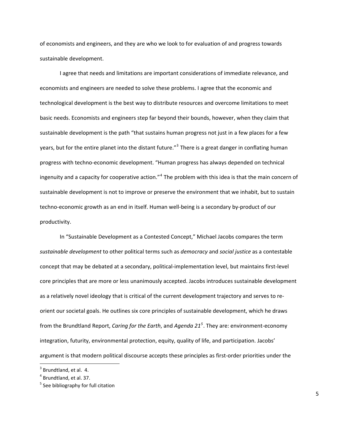of economists and engineers, and they are who we look to for evaluation of and progress towards sustainable development.

I agree that needs and limitations are important considerations of immediate relevance, and economists and engineers are needed to solve these problems. I agree that the economic and technological development is the best way to distribute resources and overcome limitations to meet basic needs. Economists and engineers step far beyond their bounds, however, when they claim that sustainable development is the path "that sustains human progress not just in a few places for a few years, but for the entire planet into the distant future."<sup>[3](#page-4-0)</sup> There is a great danger in conflating human progress with techno‐economic development. "Human progress has always depended on technical ingenuity and a capacity for cooperative action."<sup>[4](#page-4-1)</sup> The problem with this idea is that the main concern of sustainable development is not to improve or preserve the environment that we inhabit, but to sustain techno‐economic growth as an end in itself. Human well‐being is a secondary by‐product of our productivity.

In "Sustainable Development as a Contested Concept," Michael Jacobs compares the term *sustainable development* to other political terms such as *democracy* and *social justice* as a contestable concept that may be debated at a secondary, political‐implementation level, but maintains first‐level core principles that are more or less unanimously accepted. Jacobs introduces sustainable development as a relatively novel ideology that is critical of the current development trajectory and serves to re‐ orient our societal goals. He outlines six core principles of sustainable development, which he draws from the Brundtland Report, *Caring for the Earth*, and *Agenda 21[5](#page-4-2)* . They are: environment‐economy integration, futurity, environmental protection, equity, quality of life, and participation. Jacobs' argument is that modern political discourse accepts these principles as first-order priorities under the

<span id="page-4-0"></span> $3$  Brundtland, et al. 4.

<span id="page-4-1"></span> $<sup>4</sup>$  Brundtland, et al. 37.</sup>

<span id="page-4-2"></span> $<sup>5</sup>$  See bibliography for full citation</sup>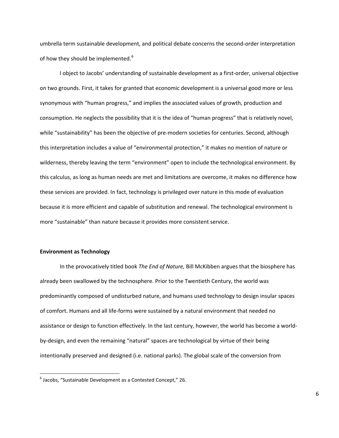umbrella term sustainable development, and political debate concerns the second‐order interpretation of how they should be implemented.<sup>[6](#page-5-0)</sup>

I object to Jacobs' understanding of sustainable development as a first‐order, universal objective on two grounds. First, it takes for granted that economic development is a universal good more or less synonymous with "human progress," and implies the associated values of growth, production and consumption. He neglects the possibility that it is the idea of "human progress" that is relatively novel, while "sustainability" has been the objective of pre-modern societies for centuries. Second, although this interpretation includes a value of "environmental protection," it makes no mention of nature or wilderness, thereby leaving the term "environment" open to include the technological environment. By this calculus, as long as human needs are met and limitations are overcome, it makes no difference how these services are provided. In fact, technology is privileged over nature in this mode of evaluation because it is more efficient and capable of substitution and renewal. The technological environment is more "sustainable" than nature because it provides more consistent service.

### **Environment as Technology**

In the provocatively titled book *The End of Nature,* Bill McKibben argues that the biosphere has already been swallowed by the technosphere. Prior to the Twentieth Century, the world was predominantly composed of undisturbed nature, and humans used technology to design insular spaces of comfort. Humans and all life‐forms were sustained by a natural environment that needed no assistance or design to function effectively. In the last century, however, the world has become a world‐ by-design, and even the remaining "natural" spaces are technological by virtue of their being intentionally preserved and designed (i.e. national parks). The global scale of the conversion from

<span id="page-5-0"></span> $6$  Jacobs, "Sustainable Development as a Contested Concept," 26.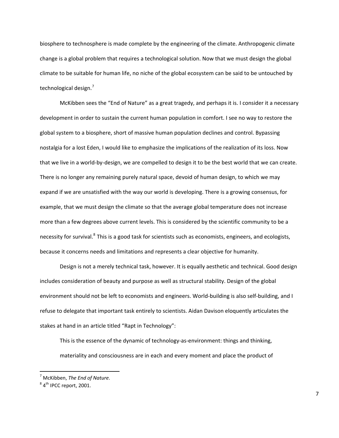biosphere to technosphere is made complete by the engineering of the climate. Anthropogenic climate change is a global problem that requires a technological solution. Now that we must design the global climate to be suitable for human life, no niche of the global ecosystem can be said to be untouched by technological design.<sup>[7](#page-6-0)</sup>

McKibben sees the "End of Nature" as a great tragedy, and perhaps it is. I consider it a necessary development in order to sustain the current human population in comfort. I see no way to restore the global system to a biosphere, short of massive human population declines and control. Bypassing nostalgia for a lost Eden, I would like to emphasize the implications of the realization of its loss. Now that we live in a world-by-design, we are compelled to design it to be the best world that we can create. There is no longer any remaining purely natural space, devoid of human design, to which we may expand if we are unsatisfied with the way our world is developing. There is a growing consensus, for example, that we must design the climate so that the average global temperature does not increase more than a few degrees above current levels. This is considered by the scientific community to be a necessity for survival.<sup>[8](#page-6-1)</sup> This is a good task for scientists such as economists, engineers, and ecologists, because it concerns needs and limitations and represents a clear objective for humanity.

Design is not a merely technical task, however. It is equally aesthetic and technical. Good design includes consideration of beauty and purpose as well as structural stability. Design of the global environment should not be left to economists and engineers. World-building is also self-building, and I refuse to delegate that important task entirely to scientists. Aidan Davison eloquently articulates the stakes at hand in an article titled "Rapt in Technology":

This is the essence of the dynamic of technology‐as‐environment: things and thinking, materiality and consciousness are in each and every moment and place the product of

<span id="page-6-0"></span><sup>7</sup> McKibben, *The End of Nature.*

<span id="page-6-1"></span> $84<sup>th</sup>$  IPCC report, 2001.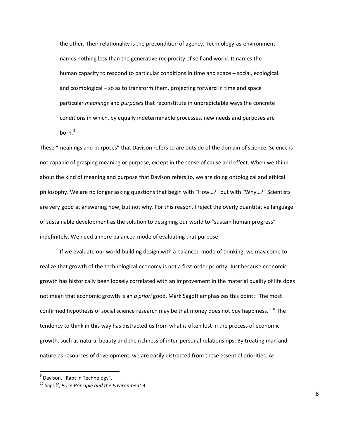the other. Their relationality is the precondition of agency. Technology‐as‐environment names nothing less than the generative reciprocity of self and world. It names the human capacity to respond to particular conditions in time and space – social, ecological and cosmological – so as to transform them, projecting forward in time and space particular *meanings* and *purposes* that reconstitute in unpredictable ways the concrete conditions in which, by equally indeterminable processes, new needs and purposes are born.<sup>[9](#page-7-0)</sup>

These "meanings and purposes" that Davison refers to are outside of the domain of science. Science is not capable of grasping meaning or purpose, except in the sense of cause and effect. When we think about the kind of meaning and purpose that Davison refers to, we are doing ontological and ethical philosophy. We are no longer asking questions that begin with "How…?" but with "Why…?" Scientists are very good at answering how, but not why. For this reason, I reject the overly quantitative language of sustainable development as the solution to designing our world to "sustain human progress" indefinitely. We need a more balanced mode of evaluating that purpose.

If we evaluate our world‐building design with a balanced mode of thinking, we may come to realize that growth of the technological economy is not a first-order priority. Just because economic growth has historically been loosely correlated with an improvement in the material quality of life does not mean that economic growth is an *a priori* good. Mark Sagoff emphasizes this point: "The most confirmed hypothesis of social science research may be that money does not buy happiness."[10](#page-7-1) The tendency to think in this way has distracted us from what is often lost in the process of economic growth, such as natural beauty and the richness of inter-personal relationships. By treating man and nature as resources of development, we are easily distracted from these essential priorities. As

<span id="page-7-0"></span> $9$  Davison, "Rapt in Technology".

<span id="page-7-1"></span><sup>10</sup> Sagoff, *Price Principle and the Environment* 9.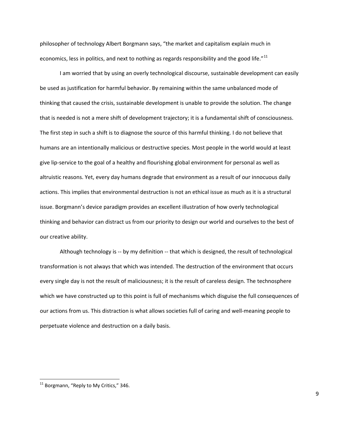philosopher of technology Albert Borgmann says, "the market and capitalism explain much in economics, less in politics, and next to nothing as regards responsibility and the good life."<sup>[11](#page-8-0)</sup>

I am worried that by using an overly technological discourse, sustainable development can easily be used as justification for harmful behavior. By remaining within the same unbalanced mode of thinking that caused the crisis, sustainable development is unable to provide the solution. The change that is needed is not a mere shift of development trajectory; it is a fundamental shift of consciousness. The first step in such a shift is to diagnose the source of this harmful thinking. I do not believe that humans are an intentionally malicious or destructive species. Most people in the world would at least give lip-service to the goal of a healthy and flourishing global environment for personal as well as altruistic reasons. Yet, every day humans degrade that environment as a result of our innocuous daily actions. This implies that environmental destruction is not an ethical issue as much as it is a structural issue. Borgmann's device paradigm provides an excellent illustration of how overly technological thinking and behavior can distract us from our priority to design our world and ourselves to the best of our creative ability.

Although technology is -- by my definition -- that which is designed, the result of technological transformation is not always that which was intended. The destruction of the environment that occurs every single day is not the result of maliciousness; it is the result of careless design. The technosphere which we have constructed up to this point is full of mechanisms which disguise the full consequences of our actions from us. This distraction is what allows societies full of caring and well‐meaning people to perpetuate violence and destruction on a daily basis.

<span id="page-8-0"></span> $11$  Borgmann, "Reply to My Critics," 346.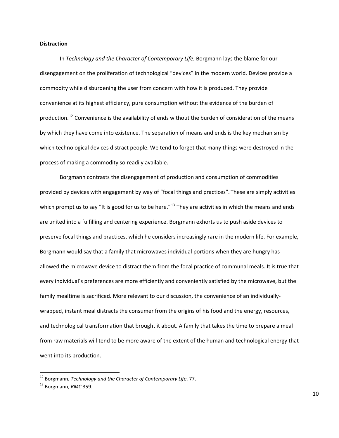## **Distraction**

In *Technology and the Character of Contemporary Life*, Borgmann lays the blame for our disengagement on the proliferation of technological "devices" in the modern world. Devices provide a commodity while disburdening the user from concern with how it is produced. They provide convenience at its highest efficiency, pure consumption without the evidence of the burden of production.<sup>[12](#page-9-0)</sup> Convenience is the availability of ends without the burden of consideration of the means by which they have come into existence. The separation of means and ends is the key mechanism by which technological devices distract people. We tend to forget that many things were destroyed in the process of making a commodity so readily available.

Borgmann contrasts the disengagement of production and consumption of commodities provided by devices with engagement by way of "focal things and practices". These are simply activities which prompt us to say "It is good for us to be here."<sup>[13](#page-9-1)</sup> They are activities in which the means and ends are united into a fulfilling and centering experience. Borgmann exhorts us to push aside devices to preserve focal things and practices, which he considers increasingly rare in the modern life. For example, Borgmann would say that a family that microwaves individual portions when they are hungry has allowed the microwave device to distract them from the focal practice of communal meals. It is true that every individual's preferences are more efficiently and conveniently satisfied by the microwave, but the family mealtime is sacrificed. More relevant to our discussion, the convenience of an individually‐ wrapped, instant meal distracts the consumer from the origins of his food and the energy, resources, and technological transformation that brought it about. A family that takes the time to prepare a meal from raw materials will tend to be more aware of the extent of the human and technological energy that went into its production.

<span id="page-9-0"></span><sup>12</sup> Borgmann, *Technology and the Character of Contemporary Life*, 77.

<span id="page-9-1"></span><sup>13</sup> Borgmann, *RMC* 359.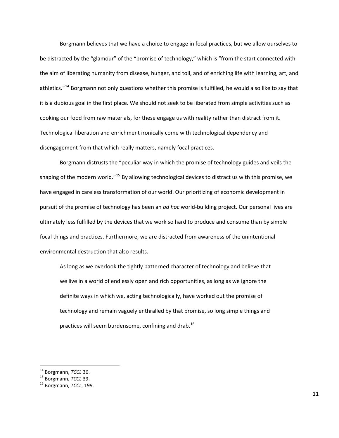Borgmann believes that we have a choice to engage in focal practices, but we allow ourselves to be distracted by the "glamour" of the "promise of technology," which is "from the start connected with the aim of liberating humanity from disease, hunger, and toil, and of enriching life with learning, art, and athletics."<sup>[14](#page-10-0)</sup> Borgmann not only questions whether this promise is fulfilled, he would also like to say that it is a dubious goal in the first place. We should not seek to be liberated from simple activities such as cooking our food from raw materials, for these engage us with reality rather than distract from it. Technological liberation and enrichment ironically come with technological dependency and disengagement from that which really matters, namely focal practices.

Borgmann distrusts the "peculiar way in which the promise of technology guides and veils the shaping of the modern world."[15](#page-10-1) By allowing technological devices to distract us with this promise, we have engaged in careless transformation of our world. Our prioritizing of economic development in pursuit of the promise of technology has been an *ad hoc* world‐building project. Our personal lives are ultimately less fulfilled by the devices that we work so hard to produce and consume than by simple focal things and practices. Furthermore, we are distracted from awareness of the unintentional environmental destruction that also results.

As long as we overlook the tightly patterned character of technology and believe that we live in a world of endlessly open and rich opportunities, as long as we ignore the definite ways in which we, acting technologically, have worked out the promise of technology and remain vaguely enthralled by that promise, so long simple things and practices will seem burdensome, confining and drab.<sup>[16](#page-10-2)</sup>

<span id="page-10-0"></span> $14$  Borgmann, TCCL 36.

<span id="page-10-1"></span><sup>14</sup> Borgmann, *TCCL* 36. <sup>15</sup> Borgmann, *TCCL* 39. <sup>16</sup> Borgmann, *TCCL*, 199.

<span id="page-10-2"></span>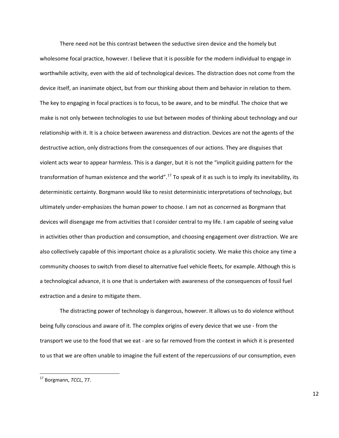There need not be this contrast between the seductive siren device and the homely but wholesome focal practice, however. I believe that it is possible for the modern individual to engage in worthwhile activity, even with the aid of technological devices. The distraction does not come from the device itself, an inanimate object, but from our thinking about them and behavior in relation to them. The key to engaging in focal practices is to focus, to be aware, and to be mindful. The choice that we make is not only between technologies to use but between modes of thinking about technology and our relationship with it. It is a choice between awareness and distraction. Devices are not the agents of the destructive action, only distractions from the consequences of our actions. They are disguises that violent acts wear to appear harmless. This is a danger, but it is not the "implicit guiding pattern for the transformation of human existence and the world".<sup>[17](#page-11-0)</sup> To speak of it as such is to imply its inevitability, its deterministic certainty. Borgmann would like to resist deterministic interpretations of technology, but ultimately under‐emphasizes the human power to choose. I am not as concerned as Borgmann that devices will disengage me from activities that I consider central to my life. I am capable of seeing value in activities other than production and consumption, and choosing engagement over distraction. We are also collectively capable of this important choice as a pluralistic society. We make this choice any time a community chooses to switch from diesel to alternative fuel vehicle fleets, for example. Although this is a technological advance, it is one that is undertaken with awareness of the consequences of fossil fuel extraction and a desire to mitigate them.

The distracting power of technology is dangerous, however. It allows us to do violence without being fully conscious and aware of it. The complex origins of every device that we use ‐ from the transport we use to the food that we eat ‐ are so far removed from the context in which it is presented to us that we are often unable to imagine the full extent of the repercussions of our consumption, even

<span id="page-11-0"></span><sup>17</sup> Borgmann, *TCCL*, 77.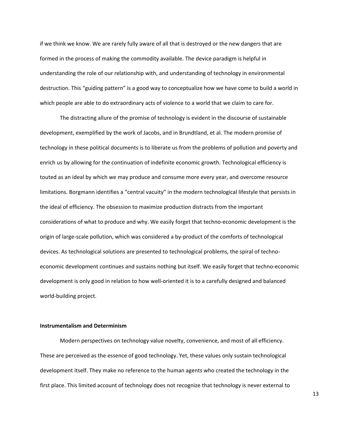if we think we know. We are rarely fully aware of all that is destroyed or the new dangers that are formed in the process of making the commodity available. The device paradigm is helpful in understanding the role of our relationship with, and understanding of technology in environmental destruction. This "guiding pattern" is a good way to conceptualize how we have come to build a world in which people are able to do extraordinary acts of violence to a world that we claim to care for.

The distracting allure of the promise of technology is evident in the discourse of sustainable development, exemplified by the work of Jacobs, and in Brundtland, et al. The modern promise of technology in these political documents is to liberate us from the problems of pollution and poverty and enrich us by allowing for the continuation of indefinite economic growth. Technological efficiency is touted as an ideal by which we may produce and consume more every year, and overcome resource limitations. Borgmann identifies a "central vacuity" in the modern technological lifestyle that persists in the ideal of efficiency. The obsession to maximize production distracts from the important considerations of what to produce and why. We easily forget that techno‐economic development is the origin of large-scale pollution, which was considered a by-product of the comforts of technological devices. As technological solutions are presented to technological problems, the spiral of technoeconomic development continues and sustains nothing but itself. We easily forget that techno‐economic development is only good in relation to how well‐oriented it is to a carefully designed and balanced world‐building project.

## **Instrumentalism and Determinism**

Modern perspectives on technology value novelty, convenience, and most of all efficiency. These are perceived as the essence of good technology. Yet, these values only sustain technological development itself. They make no reference to the human agents who created the technology in the first place. This limited account of technology does not recognize that technology is never external to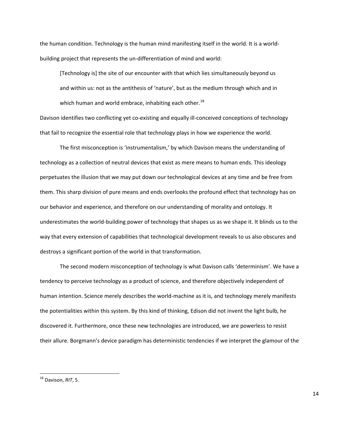the human condition. Technology is the human mind manifesting itself in the world. It is a world‐ building project that represents the un‐differentiation of mind and world:

[Technology is] the site of our encounter with that which lies simultaneously beyond us and within us: not as the antithesis of 'nature', but as the medium through which and in which human and world embrace, inhabiting each other. $^{18}$  $^{18}$  $^{18}$ 

Davison identifies two conflicting yet co-existing and equally ill-conceived conceptions of technology that fail to recognize the essential role that technology plays in how we experience the world.

The first misconception is 'instrumentalism,' by which Davison means the understanding of technology as a collection of neutral devices that exist as mere means to human ends. This ideology perpetuates the illusion that we may put down our technological devices at any time and be free from them. This sharp division of pure means and ends overlooks the profound effect that technology has on our behavior and experience, and therefore on our understanding of morality and ontology. It underestimates the world‐building power of technology that shapes us as we shape it. It blinds us to the way that every extension of capabilities that technological development reveals to us also obscures and destroys a significant portion of the world in that transformation.

The second modern misconception of technology is what Davison calls 'determinism'. We have a tendency to perceive technology as a product of science, and therefore objectively independent of human intention. Science merely describes the world-machine as it is, and technology merely manifests the potentialities within this system. By this kind of thinking, Edison did not invent the light bulb, he discovered it. Furthermore, once these new technologies are introduced, we are powerless to resist their allure. Borgmann's device paradigm has deterministic tendencies if we interpret the glamour of the

<span id="page-13-0"></span><sup>18</sup> Davison, *RIT*, 5.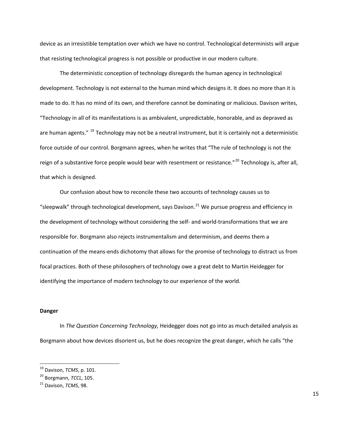device as an irresistible temptation over which we have no control. Technological determinists will argue that resisting technological progress is not possible or productive in our modern culture.

The deterministic conception of technology disregards the human agency in technological development. Technology is not external to the human mind which designs it. It does no more than it is made to do. It has no mind of its own, and therefore cannot be dominating or malicious. Davison writes, "Technology in all of its manifestations is as ambivalent, unpredictable, honorable, and as depraved as are human agents." <sup>[19](#page-14-0)</sup> Technology may not be a neutral instrument, but it is certainly not a deterministic force outside of our control. Borgmann agrees, when he writes that "The rule of technology is not the reign of a substantive force people would bear with resentment or resistance."<sup>[20](#page-14-1)</sup> Technology is, after all, that which is designed.

Our confusion about how to reconcile these two accounts of technology causes us to "sleepwalk" through technological development, says Davison.<sup>[21](#page-14-2)</sup> We pursue progress and efficiency in the development of technology without considering the self‐ and world‐transformations that we are responsible for. Borgmann also rejects instrumentalism and determinism, and deems them a continuation of the means‐ends dichotomy that allows for the promise of technology to distract us from focal practices. Both of these philosophers of technology owe a great debt to Martin Heidegger for identifying the importance of modern technology to our experience of the world.

## **Danger**

In *The Question Concerning Technology,* Heidegger does not go into as much detailed analysis as Borgmann about how devices disorient us, but he does recognize the great danger, which he calls "the

<span id="page-14-0"></span><sup>19</sup> Davison, *TCMS*, p. 101.

<span id="page-14-1"></span><sup>20</sup> Borgmann, *TCCL*, 105.

<span id="page-14-2"></span><sup>21</sup> Davison, *TCMS*, 98.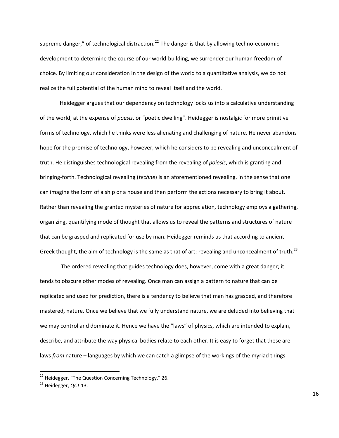supreme danger," of technological distraction.<sup>[22](#page-15-0)</sup> The danger is that by allowing techno-economic development to determine the course of our world‐building, we surrender our human freedom of choice. By limiting our consideration in the design of the world to a quantitative analysis, we do not realize the full potential of the human mind to reveal itself and the world.

Heidegger argues that our dependency on technology locks us into a calculative understanding of the world, at the expense of *poesis*, or "poetic dwelling". Heidegger is nostalgic for more primitive forms of technology, which he thinks were less alienating and challenging of nature. He never abandons hope for the promise of technology, however, which he considers to be revealing and unconcealment of truth. He distinguishes technological revealing from the revealing of *poiesis*, which is granting and bringing‐forth. Technological revealing (*techne*) is an aforementioned revealing, in the sense that one can imagine the form of a ship or a house and then perform the actions necessary to bring it about. Rather than revealing the granted mysteries of nature for appreciation, technology employs a gathering, organizing, quantifying mode of thought that allows us to reveal the patterns and structures of nature that can be grasped and replicated for use by man. Heidegger reminds us that according to ancient Greek thought, the aim of technology is the same as that of art: revealing and unconcealment of truth.<sup>[23](#page-15-1)</sup>

 The ordered revealing that guides technology does, however, come with a great danger; it tends to obscure other modes of revealing. Once man can assign a pattern to nature that can be replicated and used for prediction, there is a tendency to believe that man has grasped, and therefore mastered, nature. Once we believe that we fully understand nature, we are deluded into believing that we may control and dominate it. Hence we have the "laws" of physics, which are intended to explain, describe, and attribute the way physical bodies relate to each other. It is easy to forget that these are laws *from* nature – languages by which we can catch a glimpse of the workings of the myriad things -

<span id="page-15-0"></span> $22$  Heidegger, "The Question Concerning Technology," 26.

<span id="page-15-1"></span><sup>23</sup> Heidegger, *QCT* 13.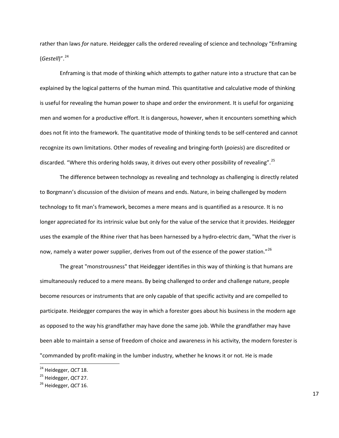rather than laws *for* nature. Heidegger calls the ordered revealing of science and technology "Enframing (*Gestell*)".[24](#page-16-0)

Enframing is that mode of thinking which attempts to gather nature into a structure that can be explained by the logical patterns of the human mind. This quantitative and calculative mode of thinking is useful for revealing the human power to shape and order the environment. It is useful for organizing men and women for a productive effort. It is dangerous, however, when it encounters something which does not fit into the framework. The quantitative mode of thinking tends to be self‐centered and cannot recognize its own limitations. Other modes of revealing and bringing‐forth (*poiesis*) are discredited or discarded. "Where this ordering holds sway, it drives out every other possibility of revealing".<sup>[25](#page-16-1)</sup>

The difference between technology as revealing and technology as challenging is directly related to Borgmann's discussion of the division of means and ends. Nature, in being challenged by modern technology to fit man's framework, becomes a mere means and is quantified as a resource. It is no longer appreciated for its intrinsic value but only for the value of the service that it provides. Heidegger uses the example of the Rhine river that has been harnessed by a hydro-electric dam, "What the river is now, namely a water power supplier, derives from out of the essence of the power station."<sup>[26](#page-16-2)</sup>

The great "monstrousness" that Heidegger identifies in this way of thinking is that humans are simultaneously reduced to a mere means. By being challenged to order and challenge nature, people become resources or instruments that are only capable of that specific activity and are compelled to participate. Heidegger compares the way in which a forester goes about his business in the modern age as opposed to the way his grandfather may have done the same job. While the grandfather may have been able to maintain a sense of freedom of choice and awareness in his activity, the modern forester is "commanded by profit-making in the lumber industry, whether he knows it or not. He is made

<span id="page-16-0"></span><sup>24</sup> Heidegger, *QCT* 18.

<span id="page-16-1"></span><sup>25</sup> Heidegger, *QCT* 27.

<span id="page-16-2"></span><sup>26</sup> Heidegger, *QCT* 16.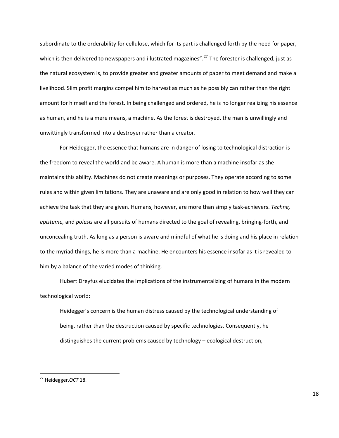subordinate to the orderability for cellulose, which for its part is challenged forth by the need for paper, which is then delivered to newspapers and illustrated magazines".<sup>[27](#page-17-0)</sup> The forester is challenged, just as the natural ecosystem is, to provide greater and greater amounts of paper to meet demand and make a livelihood. Slim profit margins compel him to harvest as much as he possibly can rather than the right amount for himself and the forest. In being challenged and ordered, he is no longer realizing his essence as human, and he is a mere means, a machine. As the forest is destroyed, the man is unwillingly and unwittingly transformed into a destroyer rather than a creator.

For Heidegger, the essence that humans are in danger of losing to technological distraction is the freedom to reveal the world and be aware. A human is more than a machine insofar as she maintains this ability. Machines do not create meanings or purposes. They operate according to some rules and within given limitations. They are unaware and are only good in relation to how well they can achieve the task that they are given. Humans, however, are more than simply task‐achievers. *Techne, episteme,* and *poiesis* are all pursuits of humans directed to the goal of revealing, bringing‐forth, and unconcealing truth. As long as a person is aware and mindful of what he is doing and his place in relation to the myriad things, he is more than a machine. He encounters his essence insofar as it is revealed to him by a balance of the varied modes of thinking.

Hubert Dreyfus elucidates the implications of the instrumentalizing of humans in the modern technological world:

Heidegger's concern is the human distress caused by the technological understanding of being, rather than the destruction caused by specific technologies. Consequently, he distinguishes the current problems caused by technology – ecological destruction,

<span id="page-17-0"></span><sup>27</sup> Heidegger,*QCT* 18.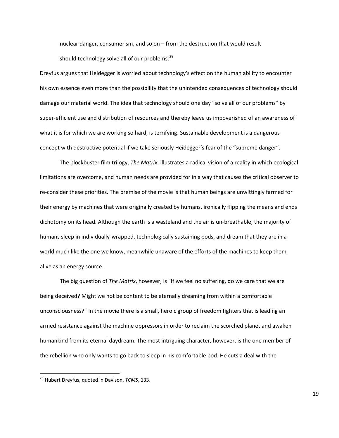nuclear danger, consumerism, and so on – from the destruction that would result should technology solve all of our problems.<sup>[28](#page-18-0)</sup>

Dreyfus argues that Heidegger is worried about technology's effect on the human ability to encounter his own essence even more than the possibility that the unintended consequences of technology should damage our material world. The idea that technology should one day "solve all of our problems" by super‐efficient use and distribution of resources and thereby leave us impoverished of an awareness of what it is for which we are working so hard, is terrifying. Sustainable development is a dangerous concept with destructive potential if we take seriously Heidegger's fear of the "supreme danger".

The blockbuster film trilogy, *The Matrix*, illustrates a radical vision of a reality in which ecological limitations are overcome, and human needs are provided for in a way that causes the critical observer to re-consider these priorities. The premise of the movie is that human beings are unwittingly farmed for their energy by machines that were originally created by humans, ironically flipping the means and ends dichotomy on its head. Although the earth is a wasteland and the air is un‐breathable, the majority of humans sleep in individually-wrapped, technologically sustaining pods, and dream that they are in a world much like the one we know, meanwhile unaware of the efforts of the machines to keep them alive as an energy source.

The big question of *The Matrix*, however, is "If we feel no suffering, do we care that we are being deceived? Might we not be content to be eternally dreaming from within a comfortable unconsciousness?" In the movie there is a small, heroic group of freedom fighters that is leading an armed resistance against the machine oppressors in order to reclaim the scorched planet and awaken humankind from its eternal daydream. The most intriguing character, however, is the one member of the rebellion who only wants to go back to sleep in his comfortable pod. He cuts a deal with the

<span id="page-18-0"></span><sup>28</sup> Hubert Dreyfus, quoted in Davison, *TCMS*, 133.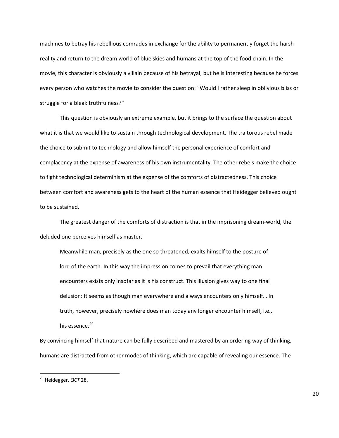machines to betray his rebellious comrades in exchange for the ability to permanently forget the harsh reality and return to the dream world of blue skies and humans at the top of the food chain. In the movie, this character is obviously a villain because of his betrayal, but he is interesting because he forces every person who watches the movie to consider the question: "Would I rather sleep in oblivious bliss or struggle for a bleak truthfulness?"

This question is obviously an extreme example, but it brings to the surface the question about what it is that we would like to sustain through technological development. The traitorous rebel made the choice to submit to technology and allow himself the personal experience of comfort and complacency at the expense of awareness of his own instrumentality. The other rebels make the choice to fight technological determinism at the expense of the comforts of distractedness. This choice between comfort and awareness gets to the heart of the human essence that Heidegger believed ought to be sustained.

The greatest danger of the comforts of distraction is that in the imprisoning dream‐world, the deluded one perceives himself as master.

Meanwhile man, precisely as the one so threatened, exalts himself to the posture of lord of the earth. In this way the impression comes to prevail that everything man encounters exists only insofar as it is his construct. This illusion gives way to one final delusion: It seems as though man everywhere and always encounters only himself… In truth, however, precisely nowhere does man today any longer encounter himself, i.e., his essence.<sup>[29](#page-19-0)</sup>

By convincing himself that nature can be fully described and mastered by an ordering way of thinking, humans are distracted from other modes of thinking, which are capable of revealing our essence. The

<span id="page-19-0"></span><sup>29</sup> Heidegger, *QCT* 28.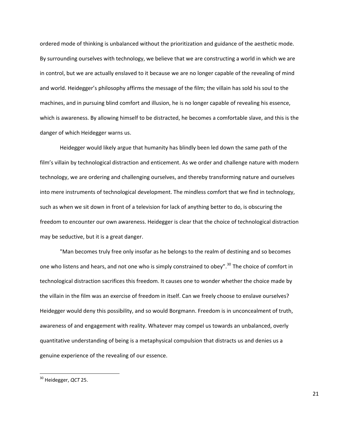ordered mode of thinking is unbalanced without the prioritization and guidance of the aesthetic mode. By surrounding ourselves with technology, we believe that we are constructing a world in which we are in control, but we are actually enslaved to it because we are no longer capable of the revealing of mind and world. Heidegger's philosophy affirms the message of the film; the villain has sold his soul to the machines, and in pursuing blind comfort and illusion, he is no longer capable of revealing his essence, which is awareness. By allowing himself to be distracted, he becomes a comfortable slave, and this is the danger of which Heidegger warns us.

Heidegger would likely argue that humanity has blindly been led down the same path of the film's villain by technological distraction and enticement. As we order and challenge nature with modern technology, we are ordering and challenging ourselves, and thereby transforming nature and ourselves into mere instruments of technological development. The mindless comfort that we find in technology, such as when we sit down in front of a television for lack of anything better to do, is obscuring the freedom to encounter our own awareness. Heidegger is clear that the choice of technological distraction may be seductive, but it is a great danger.

"Man becomes truly free only insofar as he belongs to the realm of destining and so becomes one who listens and hears, and not one who is simply constrained to obey".<sup>[30](#page-20-0)</sup> The choice of comfort in technological distraction sacrifices this freedom. It causes one to wonder whether the choice made by the villain in the film was an exercise of freedom in itself. Can we freely choose to enslave ourselves? Heidegger would deny this possibility, and so would Borgmann. Freedom is in unconcealment of truth, awareness of and engagement with reality. Whatever may compel us towards an unbalanced, overly quantitative understanding of being is a metaphysical compulsion that distracts us and denies us a genuine experience of the revealing of our essence.

<span id="page-20-0"></span><sup>30</sup> Heidegger, *QCT* 25.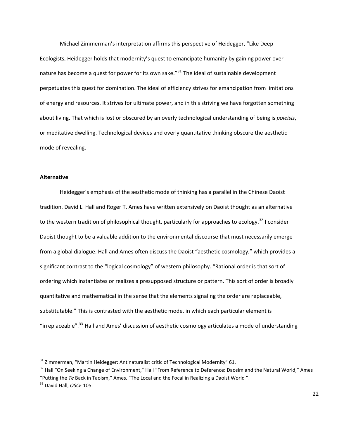Michael Zimmerman's interpretation affirms this perspective of Heidegger, "Like Deep Ecologists, Heidegger holds that modernity's quest to emancipate humanity by gaining power over nature has become a quest for power for its own sake."<sup>[31](#page-21-0)</sup> The ideal of sustainable development perpetuates this quest for domination. The ideal of efficiency strives for emancipation from limitations of energy and resources. It strives for ultimate power, and in this striving we have forgotten something about living. That which is lost or obscured by an overly technological understanding of being is *poieisis*, or meditative dwelling. Technological devices and overly quantitative thinking obscure the aesthetic mode of revealing.

# **Alternative**

Heidegger's emphasis of the aesthetic mode of thinking has a parallel in the Chinese Daoist tradition. David L. Hall and Roger T. Ames have written extensively on Daoist thought as an alternative to the western tradition of philosophical thought, particularly for approaches to ecology.<sup>[32](#page-21-1)</sup> I consider Daoist thought to be a valuable addition to the environmental discourse that must necessarily emerge from a global dialogue. Hall and Ames often discuss the Daoist "aesthetic cosmology," which provides a significant contrast to the "logical cosmology" of western philosophy. "Rational order is that sort of ordering which instantiates or realizes a presupposed structure or pattern. This sort of order is broadly quantitative and mathematical in the sense that the elements signaling the order are replaceable, substitutable." This is contrasted with the aesthetic mode, in which each particular element is "irreplaceable".<sup>[33](#page-21-2)</sup> Hall and Ames' discussion of aesthetic cosmology articulates a mode of understanding

<span id="page-21-0"></span><sup>&</sup>lt;sup>31</sup> Zimmerman, "Martin Heidegger: Antinaturalist critic of Technological Modernity" 61.

<span id="page-21-1"></span><sup>&</sup>lt;sup>32</sup> Hall "On Seeking a Change of Environment," Hall "From Reference to Deference: Daosim and the Natural World," Ames "Putting the *Te* Back in Taoism," Ames. "The Local and the Focal in Realizing a Daoist World ".

<span id="page-21-2"></span><sup>33</sup> David Hall, *OSCE* 105.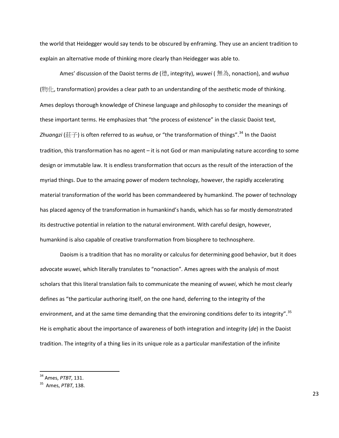the world that Heidegger would say tends to be obscured by enframing. They use an ancient tradition to explain an alternative mode of thinking more clearly than Heidegger was able to.

Ames' discussion of the Daoist terms *de* (德, integrity), *wuwei* ( 無為, nonaction), and *wuhua*  $(\mathcal{M}, \mathcal{L})$ , transformation) provides a clear path to an understanding of the aesthetic mode of thinking. Ames deploys thorough knowledge of Chinese language and philosophy to consider the meanings of these important terms. He emphasizes that "the process of existence" in the classic Daoist text, *Zhuangzi* (莊子) is often referred to as *wuhua*, or "the transformation of things".[34](#page-22-0) In the Daoist tradition, this transformation has no agent – it is not God or man manipulating nature according to some design or immutable law. It is endless transformation that occurs as the result of the interaction of the myriad things. Due to the amazing power of modern technology, however, the rapidly accelerating material transformation of the world has been commandeered by humankind. The power of technology has placed agency of the transformation in humankind's hands, which has so far mostly demonstrated its destructive potential in relation to the natural environment. With careful design, however, humankind is also capable of creative transformation from biosphere to technosphere.

Daoism is a tradition that has no morality or calculus for determining good behavior, but it does advocate *wuwei*, which literally translates to "nonaction"*.* Ames agrees with the analysis of most scholars that this literal translation fails to communicate the meaning of *wuwei*, which he most clearly defines as "the particular authoring itself, on the one hand, deferring to the integrity of the environment, and at the same time demanding that the environing conditions defer to its integrity".<sup>[35](#page-22-1)</sup> He is emphatic about the importance of awareness of both integration and integrity (*de*) in the Daoist tradition. The integrity of a thing lies in its unique role as a particular manifestation of the infinite

<span id="page-22-0"></span><sup>34</sup> Ames, *PTBT*, 131.

<span id="page-22-1"></span><sup>35</sup> Ames, *PTBT*, 138.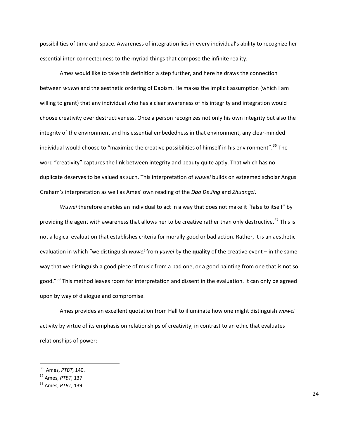possibilities of time and space. Awareness of integration lies in every individual's ability to recognize her essential inter‐connectedness to the myriad things that compose the infinite reality.

Ames would like to take this definition a step further, and here he draws the connection between *wuwei* and the aesthetic ordering of Daoism. He makes the implicit assumption (which I am willing to grant) that any individual who has a clear awareness of his integrity and integration would choose creativity over destructiveness. Once a person recognizes not only his own integrity but also the integrity of the environment and his essential embededness in that environment, any clear‐minded individual would choose to "maximize the creative possibilities of himself in his environment".<sup>[36](#page-23-0)</sup> The word "creativity" captures the link between integrity and beauty quite aptly. That which has no duplicate deserves to be valued as such. This interpretation of *wuwei* builds on esteemed scholar Angus Graham's interpretation as well as Ames' own reading of the *Dao De Jing* and *Zhuangzi*.

*Wuwei* therefore enables an individual to act in a way that does not make it "false to itself" by providing the agent with awareness that allows her to be creative rather than only destructive.<sup>[37](#page-23-1)</sup> This is not a logical evaluation that establishes criteria for morally good or bad action. Rather, it is an aesthetic evaluation in which "we distinguish *wuwei* from *yuwei* by the **quality** of the creative event – in the same way that we distinguish a good piece of music from a bad one, or a good painting from one that is not so good."<sup>[38](#page-23-2)</sup> This method leaves room for interpretation and dissent in the evaluation. It can only be agreed upon by way of dialogue and compromise.

Ames provides an excellent quotation from Hall to illuminate how one might distinguish *wuwei* activity by virtue of its emphasis on relationships of creativity, in contrast to an ethic that evaluates relationships of power:

<span id="page-23-0"></span><sup>36</sup> Ames, *PTBT*, 140.

<span id="page-23-1"></span><sup>37</sup> Ames, *PTBT*, 137.

<span id="page-23-2"></span><sup>38</sup> Ames, *PTBT*, 139.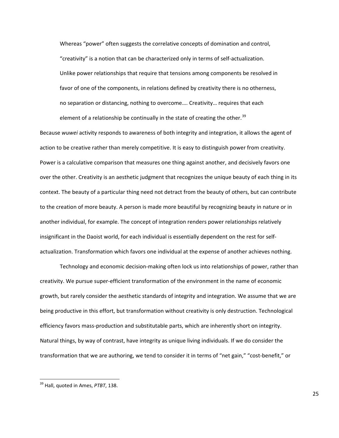Whereas "power" often suggests the correlative concepts of domination and control, "creativity" is a notion that can be characterized only in terms of self‐actualization. Unlike power relationships that require that tensions among components be resolved in favor of one of the components, in relations defined by creativity there is no otherness, no separation or distancing, nothing to overcome…. Creativity… requires that each element of a relationship be continually in the state of creating the other.<sup>[39](#page-24-0)</sup>

Because *wuwei* activity responds to awareness of both integrity and integration, it allows the agent of action to be creative rather than merely competitive. It is easy to distinguish power from creativity. Power is a calculative comparison that measures one thing against another, and decisively favors one over the other. Creativity is an aesthetic judgment that recognizes the unique beauty of each thing in its context. The beauty of a particular thing need not detract from the beauty of others, but can contribute to the creation of more beauty. A person is made more beautiful by recognizing beauty in nature or in another individual, for example. The concept of integration renders power relationships relatively insignificant in the Daoist world, for each individual is essentially dependent on the rest for self‐ actualization. Transformation which favors one individual at the expense of another achieves nothing.

Technology and economic decision‐making often lock us into relationships of power, rather than creativity. We pursue super‐efficient transformation of the environment in the name of economic growth, but rarely consider the aesthetic standards of integrity and integration. We assume that we are being productive in this effort, but transformation without creativity is only destruction. Technological efficiency favors mass‐production and substitutable parts, which are inherently short on integrity. Natural things, by way of contrast, have integrity as unique living individuals. If we do consider the transformation that we are authoring, we tend to consider it in terms of "net gain," "cost‐benefit," or

<span id="page-24-0"></span> <sup>39</sup> Hall, quoted in Ames, *PTBT*, 138.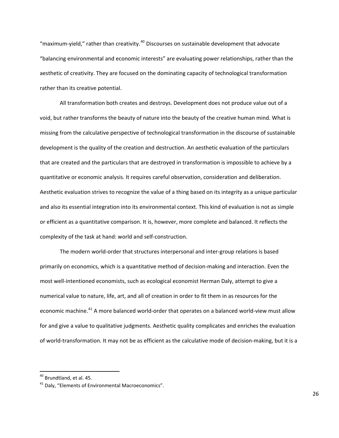"maximum-yield," rather than creativity. $40$  Discourses on sustainable development that advocate "balancing environmental and economic interests" are evaluating power relationships, rather than the aesthetic of creativity. They are focused on the dominating capacity of technological transformation rather than its creative potential.

All transformation both creates and destroys. Development does not produce value out of a void, but rather transforms the beauty of nature into the beauty of the creative human mind. What is missing from the calculative perspective of technological transformation in the discourse of sustainable development is the quality of the creation and destruction. An aesthetic evaluation of the particulars that are created and the particulars that are destroyed in transformation is impossible to achieve by a quantitative or economic analysis. It requires careful observation, consideration and deliberation. Aesthetic evaluation strives to recognize the value of a thing based on its integrity as a unique particular and also its essential integration into its environmental context. This kind of evaluation is not as simple or efficient as a quantitative comparison. It is, however, more complete and balanced. It reflects the complexity of the task at hand: world and self‐construction.

The modern world‐order that structures interpersonal and inter‐group relations is based primarily on economics, which is a quantitative method of decision‐making and interaction. Even the most well‐intentioned economists, such as ecological economist Herman Daly, attempt to give a numerical value to nature, life, art, and all of creation in order to fit them in as resources for the economic machine.<sup>[41](#page-25-1)</sup> A more balanced world-order that operates on a balanced world-view must allow for and give a value to qualitative judgments. Aesthetic quality complicates and enriches the evaluation of world‐transformation. It may not be as efficient as the calculative mode of decision‐making, but it is a

<span id="page-25-0"></span><sup>&</sup>lt;sup>40</sup> Brundtland, et al. 45.

<span id="page-25-1"></span><sup>&</sup>lt;sup>41</sup> Daly, "Elements of Environmental Macroeconomics".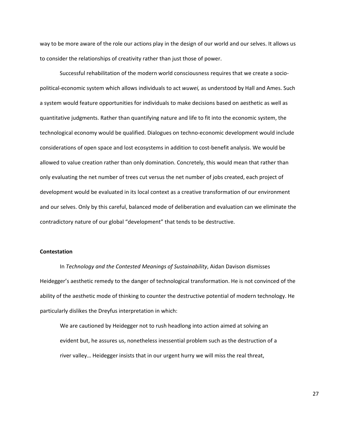way to be more aware of the role our actions play in the design of our world and our selves. It allows us to consider the relationships of creativity rather than just those of power.

Successful rehabilitation of the modern world consciousness requires that we create a socio‐ political‐economic system which allows individuals to act *wuwei,* as understood by Hall and Ames. Such a system would feature opportunities for individuals to make decisions based on aesthetic as well as quantitative judgments. Rather than quantifying nature and life to fit into the economic system, the technological economy would be qualified. Dialogues on techno‐economic development would include considerations of open space and lost ecosystems in addition to cost-benefit analysis. We would be allowed to value creation rather than only domination. Concretely, this would mean that rather than only evaluating the net number of trees cut versus the net number of jobs created, each project of development would be evaluated in its local context as a creative transformation of our environment and our selves. Only by this careful, balanced mode of deliberation and evaluation can we eliminate the contradictory nature of our global "development" that tends to be destructive.

### **Contestation**

In *Technology and the Contested Meanings of Sustainability*, Aidan Davison dismisses Heidegger's aesthetic remedy to the danger of technological transformation. He is not convinced of the ability of the aesthetic mode of thinking to counter the destructive potential of modern technology. He particularly dislikes the Dreyfus interpretation in which:

We are cautioned by Heidegger not to rush headlong into action aimed at solving an evident but, he assures us, nonetheless inessential problem such as the destruction of a river valley… Heidegger insists that in our urgent hurry we will miss the real threat,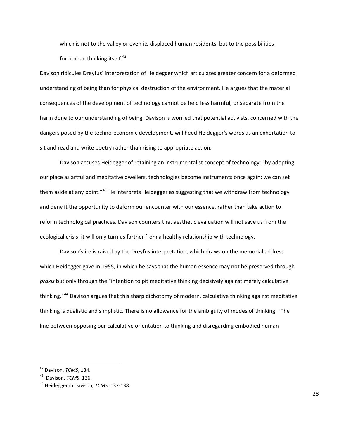which is not to the valley or even its displaced human residents, but to the possibilities for human thinking itself.<sup>[42](#page-27-0)</sup>

Davison ridicules Dreyfus' interpretation of Heidegger which articulates greater concern for a deformed understanding of being than for physical destruction of the environment. He argues that the material consequences of the development of technology cannot be held less harmful, or separate from the harm done to our understanding of being. Davison is worried that potential activists, concerned with the dangers posed by the techno‐economic development, will heed Heidegger's words as an exhortation to sit and read and write poetry rather than rising to appropriate action.

Davison accuses Heidegger of retaining an instrumentalist concept of technology: "by adopting our place as artful and meditative dwellers, technologies become instruments once again: we can set them aside at any point."<sup>[43](#page-27-1)</sup> He interprets Heidegger as suggesting that we withdraw from technology and deny it the opportunity to deform our encounter with our essence, rather than take action to reform technological practices. Davison counters that aesthetic evaluation will not save us from the ecological crisis; it will only turn us farther from a healthy relationship with technology.

Davison's ire is raised by the Dreyfus interpretation, which draws on the memorial address which Heidegger gave in 1955, in which he says that the human essence may not be preserved through *praxis* but only through the "intention to pit meditative thinking decisively against merely calculative thinking."<sup>[44](#page-27-2)</sup> Davison argues that this sharp dichotomy of modern, calculative thinking against meditative thinking is dualistic and simplistic. There is no allowance for the ambiguity of modes of thinking. "The line between opposing our calculative orientation to thinking and disregarding embodied human

<span id="page-27-0"></span><sup>42</sup> Davison. *TCMS*, 134.

<span id="page-27-1"></span><sup>43</sup> Davison, *TCMS*, 136.

<span id="page-27-2"></span><sup>44</sup> Heidegger in Davison, *TCMS*, 137‐138.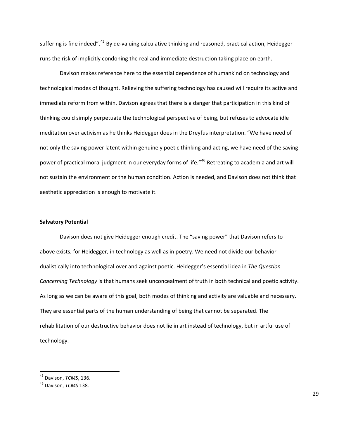suffering is fine indeed".<sup>[45](#page-28-0)</sup> By de-valuing calculative thinking and reasoned, practical action, Heidegger runs the risk of implicitly condoning the real and immediate destruction taking place on earth.

Davison makes reference here to the essential dependence of humankind on technology and technological modes of thought. Relieving the suffering technology has caused will require its active and immediate reform from within. Davison agrees that there is a danger that participation in this kind of thinking could simply perpetuate the technological perspective of being, but refuses to advocate idle meditation over activism as he thinks Heidegger does in the Dreyfus interpretation. "We have need of not only the saving power latent within genuinely poetic thinking and acting, we have need of the saving power of practical moral judgment in our everyday forms of life."<sup>[46](#page-28-1)</sup> Retreating to academia and art will not sustain the environment or the human condition. Action is needed, and Davison does not think that aesthetic appreciation is enough to motivate it.

### **Salvatory Potential**

Davison does not give Heidegger enough credit. The "saving power" that Davison refers to above exists, for Heidegger, in technology as well as in poetry. We need not divide our behavior dualistically into technological over and against poetic. Heidegger's essential idea in *The Question Concerning Technology* is that humans seek unconcealment of truth in both technical and poetic activity. As long as we can be aware of this goal, both modes of thinking and activity are valuable and necessary. They are essential parts of the human understanding of being that cannot be separated. The rehabilitation of our destructive behavior does not lie in art instead of technology, but in artful use of technology.

<span id="page-28-0"></span><sup>45</sup> Davison, *TCMS*, 136.

<span id="page-28-1"></span><sup>46</sup> Davison, *TCMS* 138.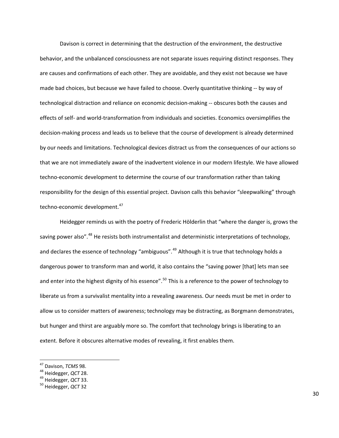Davison is correct in determining that the destruction of the environment, the destructive behavior, and the unbalanced consciousness are not separate issues requiring distinct responses. They are causes and confirmations of each other. They are avoidable, and they exist not because we have made bad choices, but because we have failed to choose. Overly quantitative thinking -- by way of technological distraction and reliance on economic decision‐making ‐‐ obscures both the causes and effects of self‐ and world‐transformation from individuals and societies. Economics oversimplifies the decision‐making process and leads us to believe that the course of development is already determined by our needs and limitations. Technological devices distract us from the consequences of our actions so that we are not immediately aware of the inadvertent violence in our modern lifestyle. We have allowed techno-economic development to determine the course of our transformation rather than taking responsibility for the design of this essential project. Davison calls this behavior "sleepwalking" through techno-economic development.<sup>[47](#page-29-0)</sup>

Heidegger reminds us with the poetry of Frederic Hölderlin that "where the danger is, grows the saving power also".<sup>[48](#page-29-1)</sup> He resists both instrumentalist and deterministic interpretations of technology, and declares the essence of technology "ambiguous".<sup>[49](#page-29-2)</sup> Although it is true that technology holds a dangerous power to transform man and world, it also contains the "saving power [that] lets man see and enter into the highest dignity of his essence".<sup>[50](#page-29-3)</sup> This is a reference to the power of technology to liberate us from a survivalist mentality into a revealing awareness. Our needs must be met in order to allow us to consider matters of awareness; technology may be distracting, as Borgmann demonstrates, but hunger and thirst are arguably more so. The comfort that technology brings is liberating to an extent. Before it obscures alternative modes of revealing, it first enables them.

<span id="page-29-1"></span>

<span id="page-29-0"></span><sup>&</sup>lt;sup>47</sup> Davison, *TCMS* 98.<br><sup>48</sup> Heidegger, *QCT* 28.<br><sup>49</sup> Heidegger, *QCT* 33.<br><sup>50</sup> Heidegger, *QCT* 32

<span id="page-29-2"></span>

<span id="page-29-3"></span>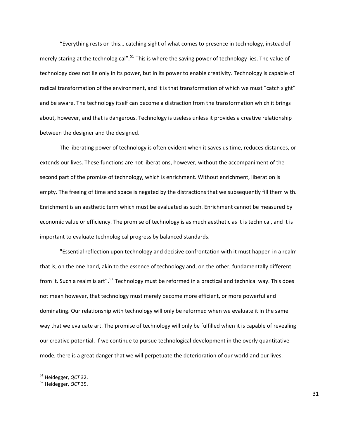"Everything rests on this… catching sight of what comes to presence in technology, instead of merely staring at the technological".  $51$  This is where the saving power of technology lies. The value of technology does not lie only in its power, but in its power to enable creativity. Technology is capable of radical transformation of the environment, and it is that transformation of which we must "catch sight" and be aware. The technology itself can become a distraction from the transformation which it brings about, however, and that is dangerous. Technology is useless unless it provides a creative relationship between the designer and the designed.

The liberating power of technology is often evident when it saves us time, reduces distances, or extends our lives. These functions are not liberations, however, without the accompaniment of the second part of the promise of technology, which is enrichment. Without enrichment, liberation is empty. The freeing of time and space is negated by the distractions that we subsequently fill them with. Enrichment is an aesthetic term which must be evaluated as such. Enrichment cannot be measured by economic value or efficiency. The promise of technology is as much aesthetic as it is technical, and it is important to evaluate technological progress by balanced standards.

"Essential reflection upon technology and decisive confrontation with it must happen in a realm that is, on the one hand, akin to the essence of technology and, on the other, fundamentally different from it. Such a realm is art".<sup>[52](#page-30-0)</sup> Technology must be reformed in a practical and technical way. This does not mean however, that technology must merely become more efficient, or more powerful and dominating. Our relationship with technology will only be reformed when we evaluate it in the same way that we evaluate art. The promise of technology will only be fulfilled when it is capable of revealing our creative potential. If we continue to pursue technological development in the overly quantitative mode, there is a great danger that we will perpetuate the deterioration of our world and our lives.

<span id="page-30-0"></span><sup>51</sup> Heidegger, *QCT* 32. <sup>52</sup> Heidegger, *QCT* 35.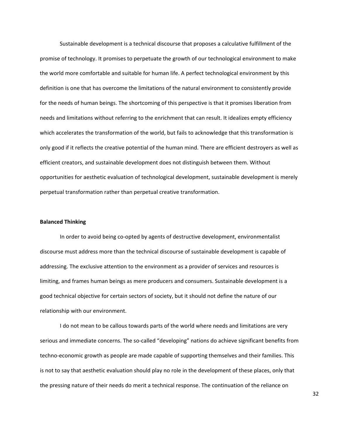Sustainable development is a technical discourse that proposes a calculative fulfillment of the promise of technology. It promises to perpetuate the growth of our technological environment to make the world more comfortable and suitable for human life. A perfect technological environment by this definition is one that has overcome the limitations of the natural environment to consistently provide for the needs of human beings. The shortcoming of this perspective is that it promises liberation from needs and limitations without referring to the enrichment that can result. It idealizes empty efficiency which accelerates the transformation of the world, but fails to acknowledge that this transformation is only good if it reflects the creative potential of the human mind. There are efficient destroyers as well as efficient creators, and sustainable development does not distinguish between them. Without opportunities for aesthetic evaluation of technological development, sustainable development is merely perpetual transformation rather than perpetual creative transformation.

### **Balanced Thinking**

In order to avoid being co-opted by agents of destructive development, environmentalist discourse must address more than the technical discourse of sustainable development is capable of addressing. The exclusive attention to the environment as a provider of services and resources is limiting, and frames human beings as mere producers and consumers. Sustainable development is a good technical objective for certain sectors of society, but it should not define the nature of our relationship with our environment.

I do not mean to be callous towards parts of the world where needs and limitations are very serious and immediate concerns. The so-called "developing" nations do achieve significant benefits from techno-economic growth as people are made capable of supporting themselves and their families. This is not to say that aesthetic evaluation should play no role in the development of these places, only that the pressing nature of their needs do merit a technical response. The continuation of the reliance on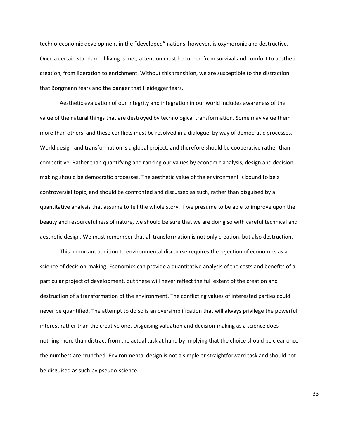techno‐economic development in the "developed" nations, however, is oxymoronic and destructive. Once a certain standard of living is met, attention must be turned from survival and comfort to aesthetic creation, from liberation to enrichment. Without this transition, we are susceptible to the distraction that Borgmann fears and the danger that Heidegger fears.

Aesthetic evaluation of our integrity and integration in our world includes awareness of the value of the natural things that are destroyed by technological transformation. Some may value them more than others, and these conflicts must be resolved in a dialogue, by way of democratic processes. World design and transformation is a global project, and therefore should be cooperative rather than competitive. Rather than quantifying and ranking our values by economic analysis, design and decision‐ making should be democratic processes. The aesthetic value of the environment is bound to be a controversial topic, and should be confronted and discussed as such, rather than disguised by a quantitative analysis that assume to tell the whole story. If we presume to be able to improve upon the beauty and resourcefulness of nature, we should be sure that we are doing so with careful technical and aesthetic design. We must remember that all transformation is not only creation, but also destruction.

This important addition to environmental discourse requires the rejection of economics as a science of decision‐making. Economics can provide a quantitative analysis of the costs and benefits of a particular project of development, but these will never reflect the full extent of the creation and destruction of a transformation of the environment. The conflicting values of interested parties could never be quantified. The attempt to do so is an oversimplification that will always privilege the powerful interest rather than the creative one. Disguising valuation and decision‐making as a science does nothing more than distract from the actual task at hand by implying that the choice should be clear once the numbers are crunched. Environmental design is not a simple or straightforward task and should not be disguised as such by pseudo‐science.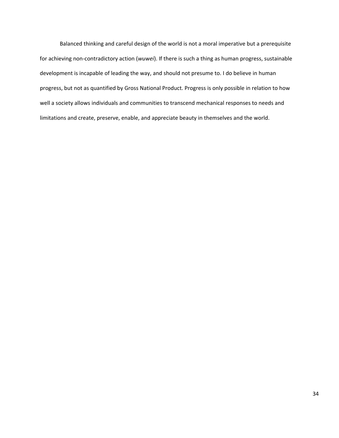Balanced thinking and careful design of the world is not a moral imperative but a prerequisite for achieving non‐contradictory action (*wuwei*). If there is such a thing as human progress, sustainable development is incapable of leading the way, and should not presume to. I do believe in human progress, but not as quantified by Gross National Product. Progress is only possible in relation to how well a society allows individuals and communities to transcend mechanical responses to needs and limitations and create, preserve, enable, and appreciate beauty in themselves and the world.